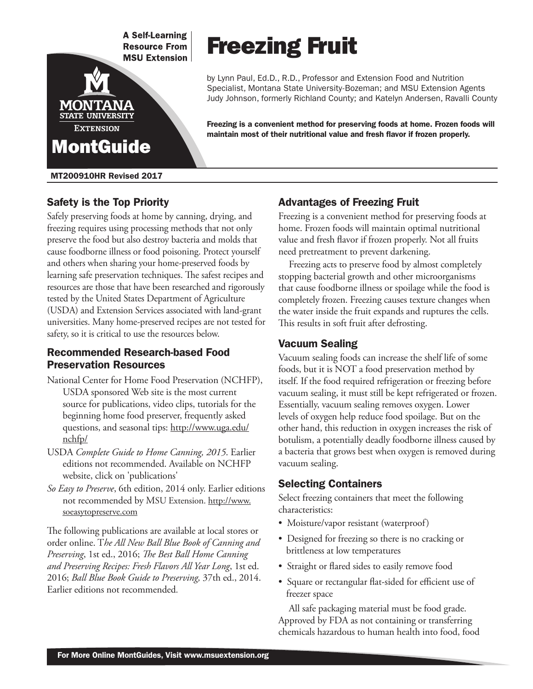**A Self-Learning Resource From MSU Extension** 



## MT200910HR Revised 2017

# Safety is the Top Priority

Safely preserving foods at home by canning, drying, and freezing requires using processing methods that not only preserve the food but also destroy bacteria and molds that cause foodborne illness or food poisoning. Protect yourself and others when sharing your home-preserved foods by learning safe preservation techniques. The safest recipes and resources are those that have been researched and rigorously tested by the United States Department of Agriculture (USDA) and Extension Services associated with land-grant universities. Many home-preserved recipes are not tested for safety, so it is critical to use the resources below.

## Recommended Research-based Food Preservation Resources

- National Center for Home Food Preservation (NCHFP), USDA sponsored Web site is the most current source for publications, video clips, tutorials for the beginning home food preserver, frequently asked questions, and seasonal tips: http://www.uga.edu/ nchfp/
- USDA *Complete Guide to Home Canning, 2015*. Earlier editions not recommended. Available on NCHFP website, click on 'publications'
- *So Easy to Preserve*, 6th edition, 2014 only. Earlier editions not recommended by MSU Extension. http://www. soeasytopreserve.com

The following publications are available at local stores or order online. T*he All New Ball Blue Book of Canning and Preserving*, 1st ed., 2016; *The Best Ball Home Canning and Preserving Recipes: Fresh Flavors All Year Long*, 1st ed. 2016; *Ball Blue Book Guide to Preserving,* 37th ed., 2014. Earlier editions not recommended.

# Freezing Fruit

by Lynn Paul, Ed.D., R.D., Professor and Extension Food and Nutrition Specialist, Montana State University-Bozeman; and MSU Extension Agents Judy Johnson, formerly Richland County; and Katelyn Andersen, Ravalli County

Freezing is a convenient method for preserving foods at home. Frozen foods will maintain most of their nutritional value and fresh flavor if frozen properly.

# Advantages of Freezing Fruit

Freezing is a convenient method for preserving foods at home. Frozen foods will maintain optimal nutritional value and fresh flavor if frozen properly. Not all fruits need pretreatment to prevent darkening.

Freezing acts to preserve food by almost completely stopping bacterial growth and other microorganisms that cause foodborne illness or spoilage while the food is completely frozen. Freezing causes texture changes when the water inside the fruit expands and ruptures the cells. This results in soft fruit after defrosting.

## Vacuum Sealing

Vacuum sealing foods can increase the shelf life of some foods, but it is NOT a food preservation method by itself. If the food required refrigeration or freezing before vacuum sealing, it must still be kept refrigerated or frozen. Essentially, vacuum sealing removes oxygen. Lower levels of oxygen help reduce food spoilage. But on the other hand, this reduction in oxygen increases the risk of botulism, a potentially deadly foodborne illness caused by a bacteria that grows best when oxygen is removed during vacuum sealing.

# Selecting Containers

Select freezing containers that meet the following characteristics:

- Moisture/vapor resistant (waterproof)
- Designed for freezing so there is no cracking or brittleness at low temperatures
- Straight or flared sides to easily remove food
- Square or rectangular flat-sided for efficient use of freezer space

All safe packaging material must be food grade. Approved by FDA as not containing or transferring chemicals hazardous to human health into food, food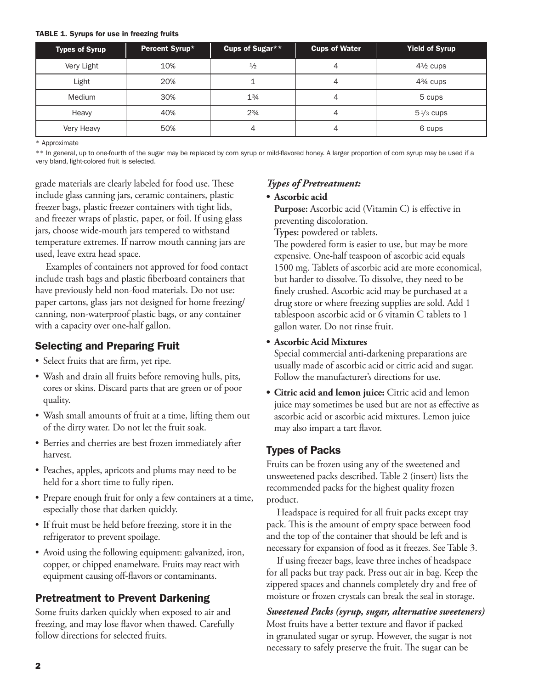## TABLE 1. Syrups for use in freezing fruits

| Types of Syrup | Percent Syrup* | Cups of Sugar** | <b>Cups of Water</b> | <b>Yield of Syrup</b> |
|----------------|----------------|-----------------|----------------------|-----------------------|
| Very Light     | 10%            | $\frac{1}{2}$   | 4                    | $4\frac{1}{2}$ cups   |
| Light          | 20%            |                 | 4                    | $4\frac{3}{4}$ cups   |
| <b>Medium</b>  | 30%            | $1\frac{3}{4}$  | 4                    | 5 cups                |
| Heavy          | 40%            | $2^{3}/4$       | 4                    | $5\frac{1}{3}$ cups   |
| Very Heavy     | 50%            | 4               | 4                    | 6 cups                |

\* Approximate

\*\* In general, up to one-fourth of the sugar may be replaced by corn syrup or mild-flavored honey. A larger proportion of corn syrup may be used if a very bland, light-colored fruit is selected.

grade materials are clearly labeled for food use. These include glass canning jars, ceramic containers, plastic freezer bags, plastic freezer containers with tight lids, and freezer wraps of plastic, paper, or foil. If using glass jars, choose wide-mouth jars tempered to withstand temperature extremes. If narrow mouth canning jars are used, leave extra head space.

Examples of containers not approved for food contact include trash bags and plastic fiberboard containers that have previously held non-food materials. Do not use: paper cartons, glass jars not designed for home freezing/ canning, non-waterproof plastic bags, or any container with a capacity over one-half gallon.

## Selecting and Preparing Fruit

- Select fruits that are firm, yet ripe.
- Wash and drain all fruits before removing hulls, pits, cores or skins. Discard parts that are green or of poor quality.
- Wash small amounts of fruit at a time, lifting them out of the dirty water. Do not let the fruit soak.
- Berries and cherries are best frozen immediately after harvest.
- Peaches, apples, apricots and plums may need to be held for a short time to fully ripen.
- Prepare enough fruit for only a few containers at a time, especially those that darken quickly.
- If fruit must be held before freezing, store it in the refrigerator to prevent spoilage.
- Avoid using the following equipment: galvanized, iron, copper, or chipped enamelware. Fruits may react with equipment causing off-flavors or contaminants.

# Pretreatment to Prevent Darkening

Some fruits darken quickly when exposed to air and freezing, and may lose flavor when thawed. Carefully follow directions for selected fruits.

## *Types of Pretreatment:*

## **• Ascorbic acid**

**Purpose:** Ascorbic acid (Vitamin C) is effective in preventing discoloration.

**Types:** powdered or tablets.

The powdered form is easier to use, but may be more expensive. One-half teaspoon of ascorbic acid equals 1500 mg. Tablets of ascorbic acid are more economical, but harder to dissolve. To dissolve, they need to be finely crushed. Ascorbic acid may be purchased at a drug store or where freezing supplies are sold. Add 1 tablespoon ascorbic acid or 6 vitamin C tablets to 1 gallon water. Do not rinse fruit.

## **• Ascorbic Acid Mixtures**

Special commercial anti-darkening preparations are usually made of ascorbic acid or citric acid and sugar. Follow the manufacturer's directions for use.

**• Citric acid and lemon juice:** Citric acid and lemon juice may sometimes be used but are not as effective as ascorbic acid or ascorbic acid mixtures. Lemon juice may also impart a tart flavor.

# Types of Packs

Fruits can be frozen using any of the sweetened and unsweetened packs described. Table 2 (insert) lists the recommended packs for the highest quality frozen product.

Headspace is required for all fruit packs except tray pack. This is the amount of empty space between food and the top of the container that should be left and is necessary for expansion of food as it freezes. See Table 3.

If using freezer bags, leave three inches of headspace for all packs but tray pack. Press out air in bag. Keep the zippered spaces and channels completely dry and free of moisture or frozen crystals can break the seal in storage.

*Sweetened Packs (syrup, sugar, alternative sweeteners)* Most fruits have a better texture and flavor if packed in granulated sugar or syrup. However, the sugar is not necessary to safely preserve the fruit. The sugar can be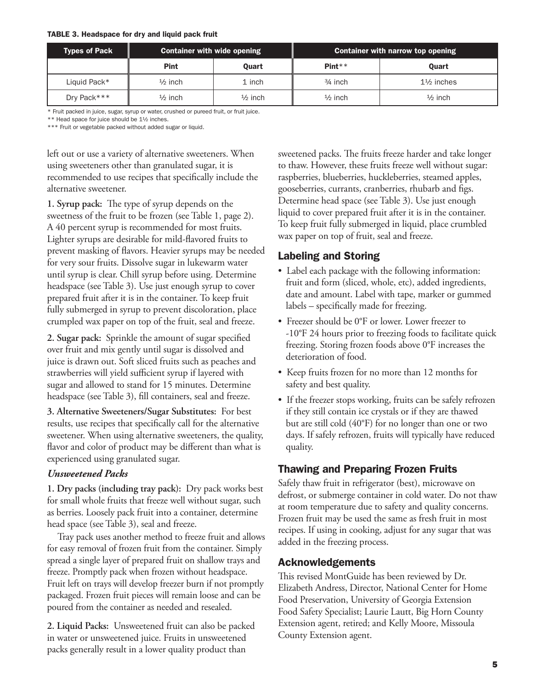### TABLE 3. Headspace for dry and liquid pack fruit

| Types of Pack | <b>Container with wide opening</b> |                    |                    | Container with narrow top opening |
|---------------|------------------------------------|--------------------|--------------------|-----------------------------------|
|               | <b>Pint</b>                        | <b>Ouart</b>       | $Pint**$           | <b>Ouart</b>                      |
| Liquid Pack*  | $\frac{1}{2}$ inch                 | 1 inch             | $3/4$ inch         | $1\frac{1}{2}$ inches             |
| Dry Pack***   | $\frac{1}{2}$ inch                 | $\frac{1}{2}$ inch | $\frac{1}{2}$ inch | $\frac{1}{2}$ inch                |

\* Fruit packed in juice, sugar, syrup or water, crushed or pureed fruit, or fruit juice.

\*\* Head space for juice should be 1½ inches.

\*\*\* Fruit or vegetable packed without added sugar or liquid.

left out or use a variety of alternative sweeteners. When using sweeteners other than granulated sugar, it is recommended to use recipes that specifically include the alternative sweetener.

**1. Syrup pack:** The type of syrup depends on the sweetness of the fruit to be frozen (see Table 1, page 2). A 40 percent syrup is recommended for most fruits. Lighter syrups are desirable for mild-flavored fruits to prevent masking of flavors. Heavier syrups may be needed for very sour fruits. Dissolve sugar in lukewarm water until syrup is clear. Chill syrup before using. Determine headspace (see Table 3). Use just enough syrup to cover prepared fruit after it is in the container. To keep fruit fully submerged in syrup to prevent discoloration, place crumpled wax paper on top of the fruit, seal and freeze.

**2. Sugar pack:** Sprinkle the amount of sugar specified over fruit and mix gently until sugar is dissolved and juice is drawn out. Soft sliced fruits such as peaches and strawberries will yield sufficient syrup if layered with sugar and allowed to stand for 15 minutes. Determine headspace (see Table 3), fill containers, seal and freeze.

**3. Alternative Sweeteners/Sugar Substitutes:** For best results, use recipes that specifically call for the alternative sweetener. When using alternative sweeteners, the quality, flavor and color of product may be different than what is experienced using granulated sugar.

## *Unsweetened Packs*

**1. Dry packs (including tray pack):** Dry pack works best for small whole fruits that freeze well without sugar, such as berries. Loosely pack fruit into a container, determine head space (see Table 3), seal and freeze.

Tray pack uses another method to freeze fruit and allows for easy removal of frozen fruit from the container. Simply spread a single layer of prepared fruit on shallow trays and freeze. Promptly pack when frozen without headspace. Fruit left on trays will develop freezer burn if not promptly packaged. Frozen fruit pieces will remain loose and can be poured from the container as needed and resealed.

**2. Liquid Packs:** Unsweetened fruit can also be packed in water or unsweetened juice. Fruits in unsweetened packs generally result in a lower quality product than

sweetened packs. The fruits freeze harder and take longer to thaw. However, these fruits freeze well without sugar: raspberries, blueberries, huckleberries, steamed apples, gooseberries, currants, cranberries, rhubarb and figs. Determine head space (see Table 3). Use just enough liquid to cover prepared fruit after it is in the container. To keep fruit fully submerged in liquid, place crumbled wax paper on top of fruit, seal and freeze.

## Labeling and Storing

- Label each package with the following information: fruit and form (sliced, whole, etc), added ingredients, date and amount. Label with tape, marker or gummed labels – specifically made for freezing.
- Freezer should be 0°F or lower. Lower freezer to -10°F 24 hours prior to freezing foods to facilitate quick freezing. Storing frozen foods above 0°F increases the deterioration of food.
- Keep fruits frozen for no more than 12 months for safety and best quality.
- If the freezer stops working, fruits can be safely refrozen if they still contain ice crystals or if they are thawed but are still cold (40°F) for no longer than one or two days. If safely refrozen, fruits will typically have reduced quality.

# Thawing and Preparing Frozen Fruits

Safely thaw fruit in refrigerator (best), microwave on defrost, or submerge container in cold water. Do not thaw at room temperature due to safety and quality concerns. Frozen fruit may be used the same as fresh fruit in most recipes. If using in cooking, adjust for any sugar that was added in the freezing process.

## Acknowledgements

This revised MontGuide has been reviewed by Dr. Elizabeth Andress, Director, National Center for Home Food Preservation, University of Georgia Extension Food Safety Specialist; Laurie Lautt, Big Horn County Extension agent, retired; and Kelly Moore, Missoula County Extension agent.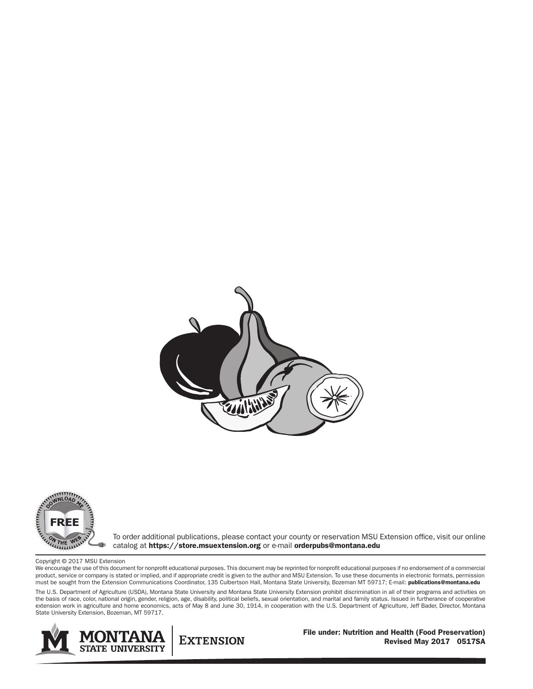



To order additional publications, please contact your county or reservation MSU Extension office, visit our online catalog at https://store.msuextension.org or e-mail orderpubs@montana.edu

Copyright © 2017 MSU Extension

We encourage the use of this document for nonprofit educational purposes. This document may be reprinted for nonprofit educational purposes if no endorsement of a commercial product, service or company is stated or implied, and if appropriate credit is given to the author and MSU Extension. To use these documents in electronic formats, permission must be sought from the Extension Communications Coordinator, 135 Culbertson Hall, Montana State University, Bozeman MT 59717; E-mail: publications@montana.edu

The U.S. Department of Agriculture (USDA), Montana State University and Montana State University Extension prohibit discrimination in all of their programs and activities on the basis of race, color, national origin, gender, religion, age, disability, political beliefs, sexual orientation, and marital and family status. Issued in furtherance of cooperative extension work in agriculture and home economics, acts of May 8 and June 30, 1914, in cooperation with the U.S. Department of Agriculture, Jeff Bader, Director, Montana State University Extension, Bozeman, MT 59717.



**EXTENSION** 

File under: Nutrition and Health (Food Preservation) Revised May 2017 0517SA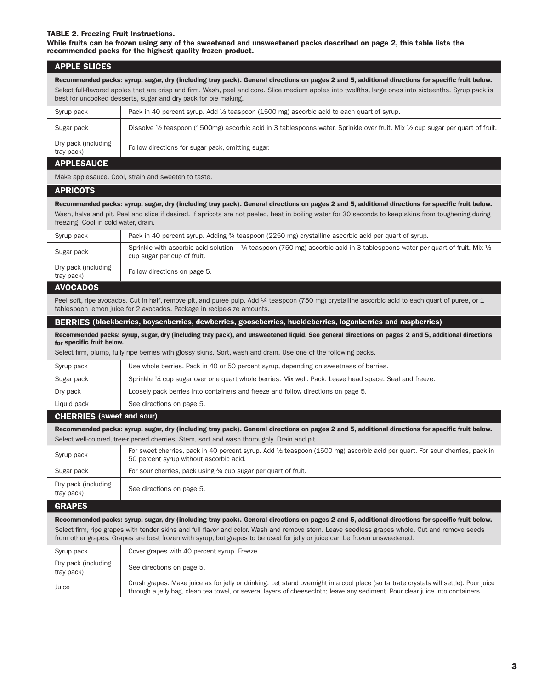#### TABLE 2. Freezing Fruit Instructions.

While fruits can be frozen using any of the sweetened and unsweetened packs described on page 2, this table lists the recommended packs for the highest quality frozen product.

### APPLE SLICES

Recommended packs: syrup, sugar, dry (including tray pack). General directions on pages 2 and 5, additional directions for specific fruit below. Select full-flavored apples that are crisp and firm. Wash, peel and core. Slice medium apples into twelfths, large ones into sixteenths. Syrup pack is best for uncooked desserts, sugar and dry pack for pie making.

| Syrup pack                        | Pack in 40 percent syrup. Add $\frac{1}{2}$ teaspoon (1500 mg) ascorbic acid to each quart of syrup.                                                |
|-----------------------------------|-----------------------------------------------------------------------------------------------------------------------------------------------------|
| Sugar pack                        | Dissolve $\frac{1}{2}$ teaspoon (1500mg) ascorbic acid in 3 tablespoons water. Sprinkle over fruit. Mix $\frac{1}{2}$ cup sugar per quart of fruit. |
| Dry pack (including<br>tray pack) | Follow directions for sugar pack, omitting sugar.                                                                                                   |

## APPLESAUCE

Make applesauce. Cool, strain and sweeten to taste.

#### **APRICOTS**

Recommended packs: syrup, sugar, dry (including tray pack). General directions on pages 2 and 5, additional directions for specific fruit below. Wash, halve and pit. Peel and slice if desired. If apricots are not peeled, heat in boiling water for 30 seconds to keep skins from toughening during freezing. Cool in cold water, drain.

| Syrup pack                        | Pack in 40 percent syrup. Adding 34 teaspoon (2250 mg) crystalline ascorbic acid per quart of syrup.                                                                    |
|-----------------------------------|-------------------------------------------------------------------------------------------------------------------------------------------------------------------------|
| Sugar pack                        | Sprinkle with ascorbic acid solution $-3/4$ teaspoon (750 mg) ascorbic acid in 3 tablespoons water per quart of fruit. Mix $\frac{1}{2}$<br>cup sugar per cup of fruit. |
| Dry pack (including<br>tray pack) | Follow directions on page 5.                                                                                                                                            |

#### AVOCADOS

Peel soft, ripe avocados. Cut in half, remove pit, and puree pulp. Add 1/4 teaspoon (750 mg) crystalline ascorbic acid to each quart of puree, or 1 tablespoon lemon juice for 2 avocados. Package in recipe-size amounts.

#### BERRIES (blackberries, boysenberries, dewberries, gooseberries, huckleberries, loganberries and raspberries)

Recommended packs: syrup, sugar, dry (including tray pack), and unsweetened liquid. See general directions on pages 2 and 5, additional directions for specific fruit below.

Select firm, plump, fully ripe berries with glossy skins. Sort, wash and drain. Use one of the following packs.

| Syrup pack  | Use whole berries. Pack in 40 or 50 percent syrup, depending on sweetness of berries.                  |
|-------------|--------------------------------------------------------------------------------------------------------|
| Sugar pack  | Sprinkle 34 cup sugar over one quart whole berries. Mix well. Pack. Leave head space. Seal and freeze. |
| Dry pack    | Loosely pack berries into containers and freeze and follow directions on page 5.                       |
| Liquid pack | See directions on page 5.                                                                              |

## CHERRIES (sweet and sour)

Recommended packs: syrup, sugar, dry (including tray pack). General directions on pages 2 and 5, additional directions for specific fruit below. Select well-colored, tree-ripened cherries. Stem, sort and wash thoroughly. Drain and pit.

| Syrup pack                        | For sweet cherries, pack in 40 percent syrup. Add ½ teaspoon (1500 mg) ascorbic acid per quart. For sour cherries, pack in<br>50 percent syrup without ascorbic acid. |
|-----------------------------------|-----------------------------------------------------------------------------------------------------------------------------------------------------------------------|
| Sugar pack                        | For sour cherries, pack using 34 cup sugar per quart of fruit.                                                                                                        |
| Dry pack (including<br>tray pack) | See directions on page 5.                                                                                                                                             |

#### GRAPES

#### Recommended packs: syrup, sugar, dry (including tray pack). General directions on pages 2 and 5, additional directions for specific fruit below.

Select firm, ripe grapes with tender skins and full flavor and color. Wash and remove stem. Leave seedless grapes whole. Cut and remove seeds from other grapes. Grapes are best frozen with syrup, but grapes to be used for jelly or juice can be frozen unsweetened.

| Syrup pack                        | Cover grapes with 40 percent syrup. Freeze.                                                                                                                                                                                                                            |
|-----------------------------------|------------------------------------------------------------------------------------------------------------------------------------------------------------------------------------------------------------------------------------------------------------------------|
| Dry pack (including<br>tray pack) | See directions on page 5.                                                                                                                                                                                                                                              |
| Juice                             | Crush grapes. Make juice as for jelly or drinking. Let stand overnight in a cool place (so tartrate crystals will settle). Pour juice<br>through a jelly bag, clean tea towel, or several layers of cheesecloth; leave any sediment. Pour clear juice into containers. |